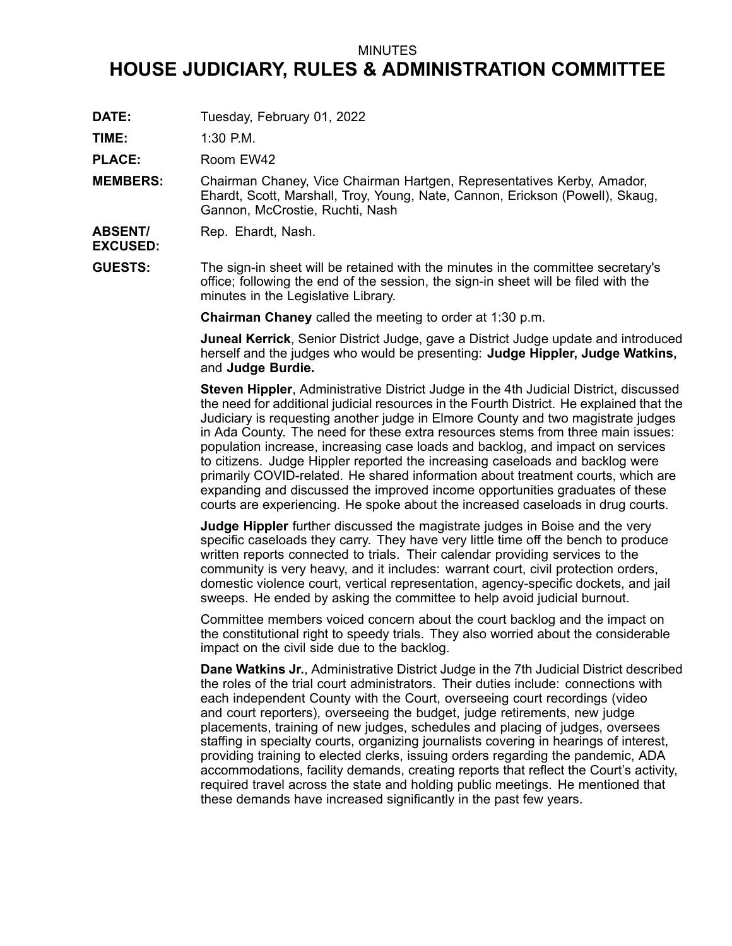## MINUTES

## **HOUSE JUDICIARY, RULES & ADMINISTRATION COMMITTEE**

**DATE:** Tuesday, February 01, 2022

**TIME:** 1:30 P.M.

PLACE: Room EW42

**MEMBERS:** Chairman Chaney, Vice Chairman Hartgen, Representatives Kerby, Amador, Ehardt, Scott, Marshall, Troy, Young, Nate, Cannon, Erickson (Powell), Skaug, Gannon, McCrostie, Ruchti, Nash

**ABSENT/** Rep. Ehardt, Nash.

**EXCUSED:**

**GUESTS:** The sign-in sheet will be retained with the minutes in the committee secretary's office; following the end of the session, the sign-in sheet will be filed with the minutes in the Legislative Library.

**Chairman Chaney** called the meeting to order at 1:30 p.m.

**Juneal Kerrick**, Senior District Judge, gave <sup>a</sup> District Judge update and introduced herself and the judges who would be presenting: **Judge Hippler, Judge Watkins,** and **Judge Burdie.**

**Steven Hippler**, Administrative District Judge in the 4th Judicial District, discussed the need for additional judicial resources in the Fourth District. He explained that the Judiciary is requesting another judge in Elmore County and two magistrate judges in Ada County. The need for these extra resources stems from three main issues: population increase, increasing case loads and backlog, and impact on services to citizens. Judge Hippler reported the increasing caseloads and backlog were primarily COVID-related. He shared information about treatment courts, which are expanding and discussed the improved income opportunities graduates of these courts are experiencing. He spoke about the increased caseloads in drug courts.

**Judge Hippler** further discussed the magistrate judges in Boise and the very specific caseloads they carry. They have very little time off the bench to produce written reports connected to trials. Their calendar providing services to the community is very heavy, and it includes: warrant court, civil protection orders, domestic violence court, vertical representation, agency-specific dockets, and jail sweeps. He ended by asking the committee to help avoid judicial burnout.

Committee members voiced concern about the court backlog and the impact on the constitutional right to speedy trials. They also worried about the considerable impact on the civil side due to the backlog.

**Dane Watkins Jr.**, Administrative District Judge in the 7th Judicial District described the roles of the trial court administrators. Their duties include: connections with each independent County with the Court, overseeing court recordings (video and court reporters), overseeing the budget, judge retirements, new judge placements, training of new judges, schedules and placing of judges, oversees staffing in specialty courts, organizing journalists covering in hearings of interest, providing training to elected clerks, issuing orders regarding the pandemic, ADA accommodations, facility demands, creating reports that reflect the Court's activity, required travel across the state and holding public meetings. He mentioned that these demands have increased significantly in the past few years.